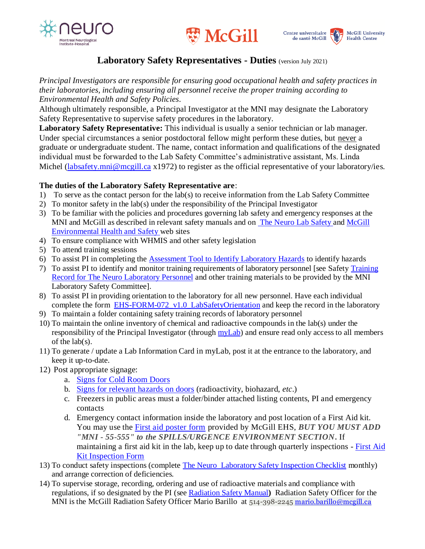





## **Laboratory Safety Representatives - Duties** (version July 2021)

*Principal Investigators are responsible for ensuring good occupational health and safety practices in their laboratories, including ensuring all personnel receive the proper training according to Environmental Health and Safety Policies.* 

Although ultimately responsible, a Principal Investigator at the MNI may designate the Laboratory Safety Representative to supervise safety procedures in the laboratory.

**Laboratory Safety Representative:** This individual is usually a senior technician or lab manager. Under special circumstances a senior postdoctoral fellow might perform these duties, but never a graduate or undergraduate student. The name, contact information and qualifications of the designated individual must be forwarded to the Lab Safety Committee's administrative assistant, Ms. Linda Michel [\(labsafety.mni@mcgill.ca](mailto:labsafety.mni@mcgill.ca) x1972) to register as the official representative of your laboratory/ies.

## **The duties of the Laboratory Safety Representative are**:

- 1) To serve as the contact person for the lab(s) to receive information from the Lab Safety Committee
- 2) To monitor safety in the lab(s) under the responsibility of the Principal Investigator
- 3) To be familiar with the policies and procedures governing lab safety and emergency responses at the MNI and McGill as described in relevant safety manuals and on [The Neuro](http://www.mcgill.ca/neuro/research/research-services/lab-safety) Lab Safety and [McGill](http://www.mcgill.ca/ehs/)  [Environmental Health and Safety](http://www.mcgill.ca/ehs/) web sites
- 4) To ensure compliance with WHMIS and other safety legislation
- 5) To attend training sessions
- 6) To assist PI in completing the [Assessment Tool to Identify Laboratory Hazards](https://www.mcgill.ca/neuro/research/lab-safety) to identify hazards
- 7) To assist PI to identify and monitor training requirements of laboratory personnel [see Safety [Training](https://www.mcgill.ca/neuro/research/lab-safety)  [Record for The Neuro Laboratory](https://www.mcgill.ca/neuro/research/lab-safety) Personnel and other training materials to be provided by the MNI Laboratory Safety Committee].
- 8) To assist PI in providing orientation to the laboratory for all new personnel. Have each individual complete the form [EHS-FORM-072\\_v1.0\\_LabSafetyOrientation](http://www.mcgill.ca/ehs/files/ehs/EHS-FORM-072_v1.0_LabSafetyOrientation.pdf) and keep the record in the laboratory
- 9) To maintain a folder containing safety training records of laboratory personnel
- 10) To maintain the online inventory of chemical and radioactive compounds in the lab(s) under the responsibility of the Principal Investigator (through [myLab\)](http://www.mcgill.ca/ehs/mylab) and ensure read only access to all members of the lab(s).
- 11) To generate / update a Lab Information Card in myLab, post it at the entrance to the laboratory, and keep it up-to-date.
- 12) Post appropriate signage:
	- a. [Signs for Cold Room Doors](http://www.mcgill.ca/ehs/files/ehs/signs_for_cold_room_doors.pdf)
	- b. [Signs for relevant hazards on doors](http://www.mcgill.ca/ehs/forms/safety-signs) (radioactivity, biohazard, *etc*.)
	- c. Freezers in public areas must a folder/binder attached listing contents, PI and emergency contacts
	- d. Emergency contact information inside the laboratory and post location of a First Aid kit. You may use the [First aid poster form](http://www.mcgill.ca/ehs/files/ehs/ehs-form-095_v.1.0_lab_workshop_emergency_poster.pdf) provided by McGill EHS, *BUT YOU MUST ADD "MNI - 55-555" to the SPILLS/URGENCE ENVIRONMENT SECTION***.** If maintaining a first aid kit in the lab, keep up to date through quarterly inspections - [First Aid](https://www.mcgill.ca/ehs/files/ehs/1staid_form-012_v.2.0_first-aidkitinspectionform.doc.pdf)  [Kit Inspection Form](https://www.mcgill.ca/ehs/files/ehs/1staid_form-012_v.2.0_first-aidkitinspectionform.doc.pdf)
- 13) To conduct safety inspections (complete [The Neuro Laboratory Safety Inspection Checklist](https://www.mcgill.ca/neuro/research/lab-safety) monthly) and arrange correction of deficiencies.
- 14) To supervise storage, recording, ordering and use of radioactive materials and compliance with regulations, if so designated by the PI (see [Radiation Safety Manual](https://www.mcgill.ca/ehs/laboratory/radiation/manual)**)** Radiation Safety Officer for the MNI is the McGill Radiation Safety Officer Mario Barillo at 514-398-2245 [mario.barillo@mcgill.ca](mailto:mario.barillo@mcgill.ca)